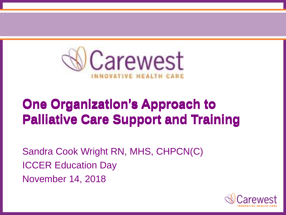

# **One Organization's Approach to One Organization's Approach to One Organization's Approach to Palliative Care Support and Training Palliative Care Support and Training Palliative Care Support and Training**

Sandra Cook Wright RN, MHS, CHPCN(C) ICCER Education Day November 14, 2018

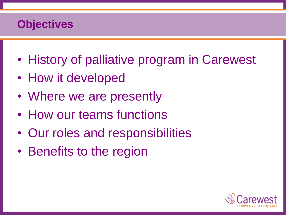# **Objectives**

- History of palliative program in Carewest
- How it developed
- Where we are presently
- How our teams functions
- Our roles and responsibilities
- Benefits to the region

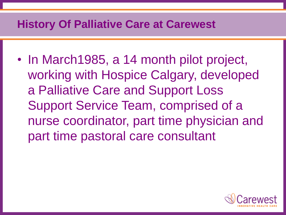#### **History Of Palliative Care at Carewest**

• In March1985, a 14 month pilot project, working with Hospice Calgary, developed a Palliative Care and Support Loss Support Service Team, comprised of a nurse coordinator, part time physician and part time pastoral care consultant

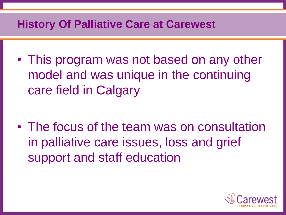#### **History Of Palliative Care at Carewest**

• This program was not based on any other model and was unique in the continuing care field in Calgary

• The focus of the team was on consultation in palliative care issues, loss and grief support and staff education

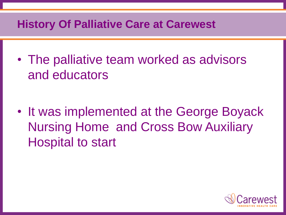#### **History Of Palliative Care at Carewest**

• The palliative team worked as advisors and educators

• It was implemented at the George Boyack Nursing Home and Cross Bow Auxiliary Hospital to start

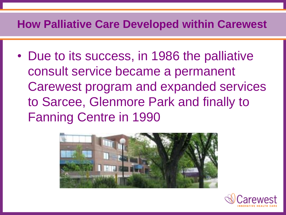#### **How Palliative Care Developed within Carewest**

• Due to its success, in 1986 the palliative consult service became a permanent Carewest program and expanded services to Sarcee, Glenmore Park and finally to Fanning Centre in 1990



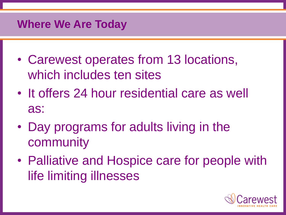#### **Where We Are Today**

- Carewest operates from 13 locations, which includes ten sites
- It offers 24 hour residential care as well as:
- Day programs for adults living in the community
- Palliative and Hospice care for people with life limiting illnesses

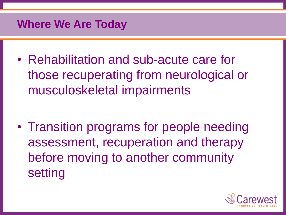#### **Where We Are Today**

• Rehabilitation and sub-acute care for those recuperating from neurological or musculoskeletal impairments

• Transition programs for people needing assessment, recuperation and therapy before moving to another community setting

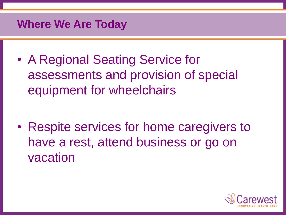#### **Where We Are Today**

• A Regional Seating Service for assessments and provision of special equipment for wheelchairs

• Respite services for home caregivers to have a rest, attend business or go on vacation

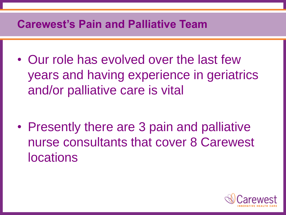## **Carewest's Pain and Palliative Team**

• Our role has evolved over the last few years and having experience in geriatrics and/or palliative care is vital

• Presently there are 3 pain and palliative nurse consultants that cover 8 Carewest locations

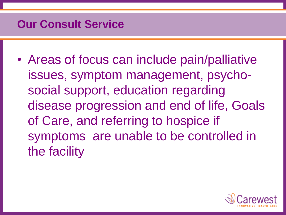### **Our Consult Service**

• Areas of focus can include pain/palliative issues, symptom management, psychosocial support, education regarding disease progression and end of life, Goals of Care, and referring to hospice if symptoms are unable to be controlled in the facility

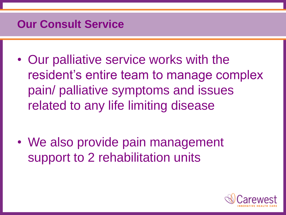### **Our Consult Service**

• Our palliative service works with the resident's entire team to manage complex pain/ palliative symptoms and issues related to any life limiting disease

• We also provide pain management support to 2 rehabilitation units

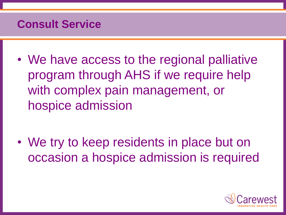## **Consult Service**

• We have access to the regional palliative program through AHS if we require help with complex pain management, or hospice admission

• We try to keep residents in place but on occasion a hospice admission is required

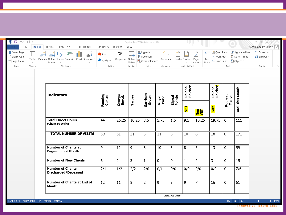| $\begin{picture}(20,20) \put(0,0){\line(1,0){10}} \put(15,0){\line(1,0){10}} \put(15,0){\line(1,0){10}} \put(15,0){\line(1,0){10}} \put(15,0){\line(1,0){10}} \put(15,0){\line(1,0){10}} \put(15,0){\line(1,0){10}} \put(15,0){\line(1,0){10}} \put(15,0){\line(1,0){10}} \put(15,0){\line(1,0){10}} \put(15,0){\line(1,0){10}} \put(15,0){\line(1$<br><b>FILE</b><br>HOME<br><b>INSERT</b> | DESIGN<br>PAGE LAYOUT<br><b>REFERENCES</b>                                                | MAILINGS                                                        | <b>REVIEW</b>   | VIEW                                                                                       | September 2018 stats.docx - Word |                                     |                  |                                                                          |                   |                                                                                                            |                  |                         | Sandra Cook Wright -                                    |
|---------------------------------------------------------------------------------------------------------------------------------------------------------------------------------------------------------------------------------------------------------------------------------------------------------------------------------------------------------------------------------------------|-------------------------------------------------------------------------------------------|-----------------------------------------------------------------|-----------------|--------------------------------------------------------------------------------------------|----------------------------------|-------------------------------------|------------------|--------------------------------------------------------------------------|-------------------|------------------------------------------------------------------------------------------------------------|------------------|-------------------------|---------------------------------------------------------|
| Cover Page -<br>Blank Page<br>Table<br>← Page Break<br>Tables<br>Pages                                                                                                                                                                                                                                                                                                                      | $\oplus$<br>Pictures Online Shapes SmartArt Chart Screenshot<br>Pictures<br>Illustrations | W<br>Store <sup></sup><br>My Apps - Wikipedia Online<br>Add-ins |                 | <b>卷</b> Hyperlink<br>بسسم<br>⊾⊕<br>Bookmark<br>Cross-reference<br>Video<br>Media<br>Links |                                  | Comment   Header Footer<br>Comments |                  | $A \equiv$<br>$\#$<br>Page<br>Text<br>Box -<br>Number<br>Header & Footer |                   | Quick Parts v & Signature Line v<br>4 WordArt v Bolde & Time<br><sup>A</sup> Drop Cap ▼ □ Object ▼<br>Text |                  |                         | $\pi$ Equation $\sim$<br>$\Omega$ Symbol $*$<br>Symbols |
|                                                                                                                                                                                                                                                                                                                                                                                             | <b>Indicators</b>                                                                         | Fanning<br>Centre                                               | George<br>Boyak | <b>Sarcee</b>                                                                              | Garrison<br>Green                | Royal<br>Park                       | Signal<br>Pointe | Colonel<br>Belcher                                                       |                   | Colonel<br>Belcher                                                                                         | Rouleau<br>Manor | <b>Total This Month</b> |                                                         |
|                                                                                                                                                                                                                                                                                                                                                                                             |                                                                                           |                                                                 |                 |                                                                                            |                                  |                                     |                  | 핑                                                                        | ia <mark>s</mark> | Total                                                                                                      |                  |                         |                                                         |
|                                                                                                                                                                                                                                                                                                                                                                                             | <b>Total Direct Hours</b><br>(Client Specific)                                            | 44                                                              | 26.25           | 10.25                                                                                      | $\overline{3.5}$                 | 5.75                                | 1.5              | 9.5                                                                      | 10.25             | 19.75                                                                                                      | 0                | 111                     |                                                         |
|                                                                                                                                                                                                                                                                                                                                                                                             | <b>TOTAL NUMBER OF VISITS</b>                                                             | 59                                                              | 51              | 21                                                                                         | 5                                | 14                                  | 3                | 10                                                                       | 8                 | 18                                                                                                         | 0                | 171                     |                                                         |
|                                                                                                                                                                                                                                                                                                                                                                                             | <b>Number of Clients at</b><br><b>Beginning of Month</b>                                  | 9                                                               | 12              | 9                                                                                          | 3                                | 10                                  | 3                | 8                                                                        | 5                 | 13                                                                                                         | 0                | 59                      |                                                         |
|                                                                                                                                                                                                                                                                                                                                                                                             | <b>Number of New Clients</b>                                                              | 6                                                               | $\overline{2}$  | 3                                                                                          | 1                                | 0                                   | 0                | $\mathbf{1}$                                                             | $\overline{2}$    | 3                                                                                                          | 0                | 15                      |                                                         |
|                                                                                                                                                                                                                                                                                                                                                                                             | <b>Number of Clients</b><br><b>Discharged/Deceased</b>                                    | 2/1                                                             | 1/2             | 2/2                                                                                        | 2/0                              | 0/1                                 | 0/0              | 0/0                                                                      | 0/0               | 0/0                                                                                                        | 0                | 7/6                     |                                                         |
|                                                                                                                                                                                                                                                                                                                                                                                             | <b>Number of Clients at End of</b><br>Month                                               | 12                                                              | 11              | 8                                                                                          | $\overline{2}$                   | 9                                   | 3                | 9                                                                        | $\overline{7}$    | 16                                                                                                         | 0                | 61                      |                                                         |
|                                                                                                                                                                                                                                                                                                                                                                                             |                                                                                           |                                                                 |                 |                                                                                            |                                  |                                     |                  |                                                                          |                   |                                                                                                            |                  |                         |                                                         |

**INNOVATIVE HEALTH CARE**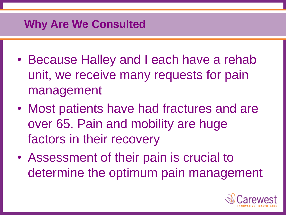# **Why Are We Consulted**

- Because Halley and I each have a rehab unit, we receive many requests for pain management
- Most patients have had fractures and are over 65. Pain and mobility are huge factors in their recovery
- Assessment of their pain is crucial to determine the optimum pain management

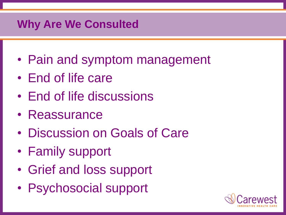# **Why Are We Consulted**

- Pain and symptom management
- End of life care
- End of life discussions
- Reassurance
- Discussion on Goals of Care
- Family support
- Grief and loss support
- Psychosocial support

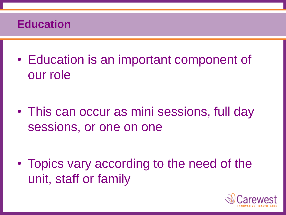## **Education**

• Education is an important component of our role

• This can occur as mini sessions, full day sessions, or one on one

• Topics vary according to the need of the unit, staff or family

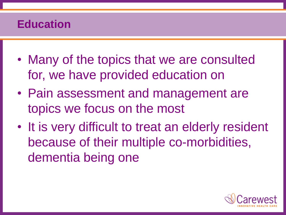# **Education**

- Many of the topics that we are consulted for, we have provided education on
- Pain assessment and management are topics we focus on the most
- It is very difficult to treat an elderly resident because of their multiple co-morbidities, dementia being one

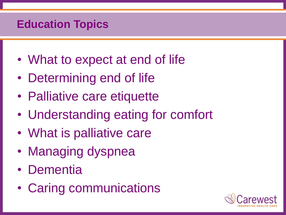# **Education Topics**

- What to expect at end of life
- Determining end of life
- Palliative care etiquette
- Understanding eating for comfort
- What is palliative care
- Managing dyspnea
- Dementia
- Caring communications

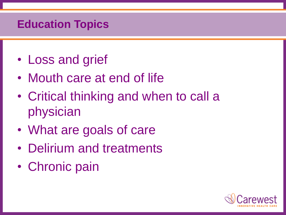## **Education Topics**

- Loss and grief
- Mouth care at end of life
- Critical thinking and when to call a physician
- What are goals of care
- Delirium and treatments
- Chronic pain

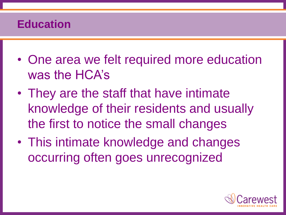## **Education**

- One area we felt required more education was the HCA's
- They are the staff that have intimate knowledge of their residents and usually the first to notice the small changes
- This intimate knowledge and changes occurring often goes unrecognized

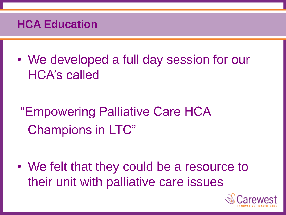## **HCA Education**

• We developed a full day session for our HCA's called

"Empowering Palliative Care HCA Champions in LTC"

• We felt that they could be a resource to their unit with palliative care issues

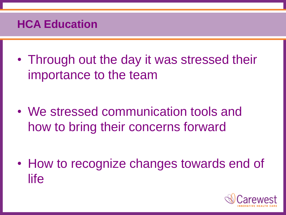## **HCA Education**

• Through out the day it was stressed their importance to the team

• We stressed communication tools and how to bring their concerns forward

• How to recognize changes towards end of life

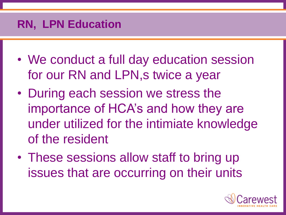# **RN, LPN Education**

- We conduct a full day education session for our RN and LPN, s twice a year
- During each session we stress the importance of HCA's and how they are under utilized for the intimiate knowledge of the resident
- These sessions allow staff to bring up issues that are occurring on their units

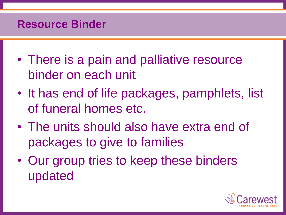#### **Resource Binder**

- There is a pain and palliative resource binder on each unit
- It has end of life packages, pamphlets, list of funeral homes etc.
- The units should also have extra end of packages to give to families
- Our group tries to keep these binders updated

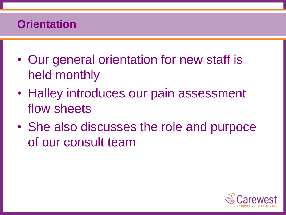# **Orientation**

- Our general orientation for new staff is held monthly
- Halley introduces our pain assessment flow sheets
- She also discusses the role and purpoce of our consult team

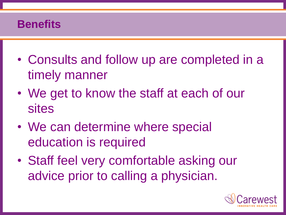## **Benefits**

- Consults and follow up are completed in a timely manner
- We get to know the staff at each of our sites
- We can determine where special education is required
- Staff feel very comfortable asking our advice prior to calling a physician.

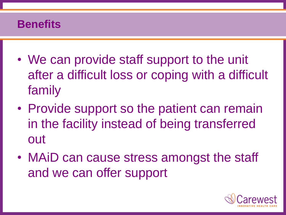## **Benefits**

- We can provide staff support to the unit after a difficult loss or coping with a difficult family
- Provide support so the patient can remain in the facility instead of being transferred out
- MAiD can cause stress amongst the staff and we can offer support

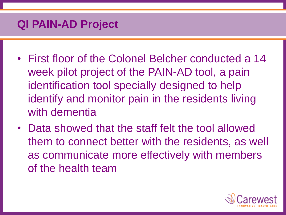## **QI PAIN-AD Project**

- First floor of the Colonel Belcher conducted a 14 week pilot project of the PAIN-AD tool, a pain identification tool specially designed to help identify and monitor pain in the residents living with dementia
- Data showed that the staff felt the tool allowed them to connect better with the residents, as well as communicate more effectively with members of the health team